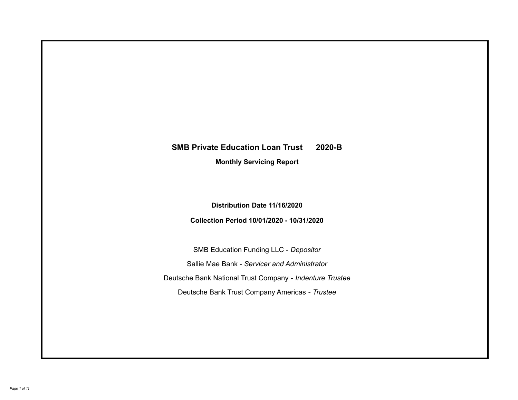# **SMB Private Education Loan Trust 2020-B Monthly Servicing Report**

**Distribution Date 11/16/2020**

**Collection Period 10/01/2020 - 10/31/2020**

SMB Education Funding LLC - *Depositor* Sallie Mae Bank - *Servicer and Administrator* Deutsche Bank National Trust Company - *Indenture Trustee* Deutsche Bank Trust Company Americas - *Trustee*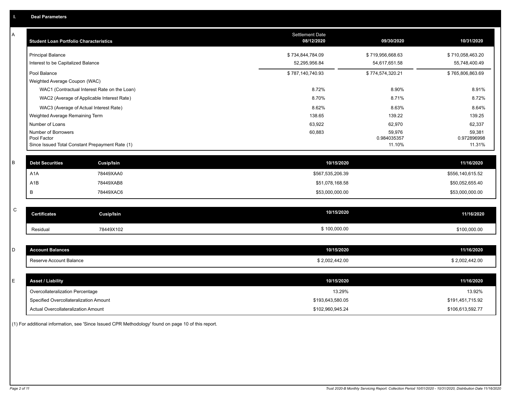| A           | <b>Student Loan Portfolio Characteristics</b> |                                                 | <b>Settlement Date</b><br>08/12/2020 | 09/30/2020            | 10/31/2020            |
|-------------|-----------------------------------------------|-------------------------------------------------|--------------------------------------|-----------------------|-----------------------|
|             | <b>Principal Balance</b>                      |                                                 | \$734,844,784.09                     | \$719,956,668.63      | \$710,058,463.20      |
|             | Interest to be Capitalized Balance            |                                                 | 52,295,956.84                        | 54,617,651.58         | 55,748,400.49         |
|             | Pool Balance                                  |                                                 | \$787,140,740.93                     | \$774,574,320.21      | \$765,806,863.69      |
|             | Weighted Average Coupon (WAC)                 |                                                 |                                      |                       |                       |
|             |                                               | WAC1 (Contractual Interest Rate on the Loan)    | 8.72%                                | 8.90%                 | 8.91%                 |
|             |                                               | WAC2 (Average of Applicable Interest Rate)      | 8.70%                                | 8.71%                 | 8.72%                 |
|             | WAC3 (Average of Actual Interest Rate)        |                                                 | 8.62%                                | 8.63%                 | 8.64%                 |
|             | Weighted Average Remaining Term               |                                                 | 138.65                               | 139.22                | 139.25                |
|             | Number of Loans                               |                                                 | 63,922                               | 62,970                | 62,337                |
|             | Number of Borrowers                           |                                                 | 60,883                               | 59,976                | 59,381                |
|             | Pool Factor                                   | Since Issued Total Constant Prepayment Rate (1) |                                      | 0.984035357<br>11.10% | 0.972896998<br>11.31% |
|             |                                               |                                                 |                                      |                       |                       |
| В           | <b>Debt Securities</b>                        | <b>Cusip/Isin</b>                               | 10/15/2020                           |                       | 11/16/2020            |
|             | A <sub>1</sub> A                              | 78449XAA0                                       | \$567,535,206.39                     |                       | \$556,140,615.52      |
|             | A1B                                           | 78449XAB8                                       | \$51,078,168.58                      |                       | \$50,052,655.40       |
|             | В                                             | 78449XAC6                                       | \$53,000,000.00                      |                       | \$53,000,000.00       |
|             |                                               |                                                 |                                      |                       |                       |
| $\mathsf C$ | <b>Certificates</b>                           | <b>Cusip/Isin</b>                               | 10/15/2020                           |                       | 11/16/2020            |
|             | Residual                                      | 78449X102                                       | \$100,000.00                         |                       | \$100,000.00          |
|             |                                               |                                                 |                                      |                       |                       |
| D           | <b>Account Balances</b>                       |                                                 | 10/15/2020                           |                       | 11/16/2020            |
|             | Reserve Account Balance                       |                                                 | \$2,002,442.00                       |                       | \$2,002,442.00        |
|             |                                               |                                                 |                                      |                       |                       |
| E           | <b>Asset / Liability</b>                      |                                                 | 10/15/2020                           |                       | 11/16/2020            |
|             | Overcollateralization Percentage              |                                                 | 13.29%                               |                       | 13.92%                |
|             | Specified Overcollateralization Amount        |                                                 | \$193,643,580.05                     |                       | \$191,451,715.92      |
|             | Actual Overcollateralization Amount           |                                                 | \$102,960,945.24                     |                       | \$106,613,592.77      |

(1) For additional information, see 'Since Issued CPR Methodology' found on page 10 of this report.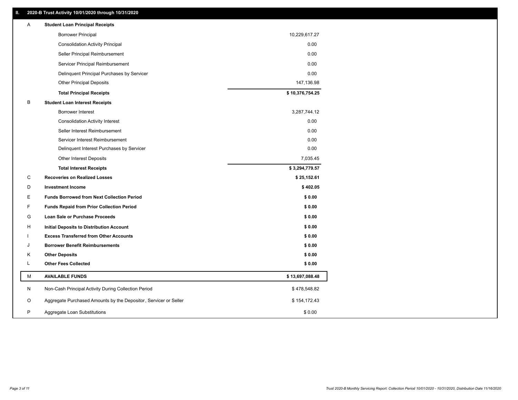| Α  | <b>Student Loan Principal Receipts</b>                           |                 |  |
|----|------------------------------------------------------------------|-----------------|--|
|    | <b>Borrower Principal</b>                                        | 10,229,617.27   |  |
|    | <b>Consolidation Activity Principal</b>                          | 0.00            |  |
|    | Seller Principal Reimbursement                                   | 0.00            |  |
|    | Servicer Principal Reimbursement                                 | 0.00            |  |
|    | Delinquent Principal Purchases by Servicer                       | 0.00            |  |
|    | <b>Other Principal Deposits</b>                                  | 147,136.98      |  |
|    | <b>Total Principal Receipts</b>                                  | \$10,376,754.25 |  |
| В  | <b>Student Loan Interest Receipts</b>                            |                 |  |
|    | <b>Borrower Interest</b>                                         | 3,287,744.12    |  |
|    | <b>Consolidation Activity Interest</b>                           | 0.00            |  |
|    | Seller Interest Reimbursement                                    | 0.00            |  |
|    | Servicer Interest Reimbursement                                  | 0.00            |  |
|    | Delinquent Interest Purchases by Servicer                        | 0.00            |  |
|    | <b>Other Interest Deposits</b>                                   | 7,035.45        |  |
|    | <b>Total Interest Receipts</b>                                   | \$3,294,779.57  |  |
| C  | <b>Recoveries on Realized Losses</b>                             | \$25,152.61     |  |
| D  | <b>Investment Income</b>                                         | \$402.05        |  |
| E. | <b>Funds Borrowed from Next Collection Period</b>                | \$0.00          |  |
| F. | <b>Funds Repaid from Prior Collection Period</b>                 | \$0.00          |  |
| G  | Loan Sale or Purchase Proceeds                                   | \$0.00          |  |
| H  | Initial Deposits to Distribution Account                         | \$0.00          |  |
|    | <b>Excess Transferred from Other Accounts</b>                    | \$0.00          |  |
| J  | <b>Borrower Benefit Reimbursements</b>                           | \$0.00          |  |
| Κ  | <b>Other Deposits</b>                                            | \$0.00          |  |
| L  | <b>Other Fees Collected</b>                                      | \$0.00          |  |
| М  | <b>AVAILABLE FUNDS</b>                                           | \$13,697,088.48 |  |
| N  | Non-Cash Principal Activity During Collection Period             | \$478,548.82    |  |
| O  | Aggregate Purchased Amounts by the Depositor, Servicer or Seller | \$154,172.43    |  |
| P  | Aggregate Loan Substitutions                                     | \$0.00          |  |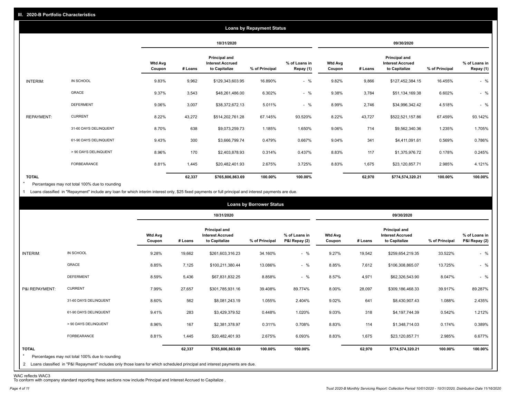|                   |                       |                          |         |                                                                  | <b>Loans by Repayment Status</b> |                            |                          |         |                                                                  |                |                            |
|-------------------|-----------------------|--------------------------|---------|------------------------------------------------------------------|----------------------------------|----------------------------|--------------------------|---------|------------------------------------------------------------------|----------------|----------------------------|
|                   |                       |                          |         | 10/31/2020                                                       |                                  |                            |                          |         | 09/30/2020                                                       |                |                            |
|                   |                       | <b>Wtd Avg</b><br>Coupon | # Loans | <b>Principal and</b><br><b>Interest Accrued</b><br>to Capitalize | % of Principal                   | % of Loans in<br>Repay (1) | <b>Wtd Avg</b><br>Coupon | # Loans | <b>Principal and</b><br><b>Interest Accrued</b><br>to Capitalize | % of Principal | % of Loans in<br>Repay (1) |
| INTERIM:          | IN SCHOOL             | 9.83%                    | 9,962   | \$129,343,603.95                                                 | 16.890%                          | $-$ %                      | 9.82%                    | 9,866   | \$127,452,384.15                                                 | 16.455%        | $-$ %                      |
|                   | GRACE                 | 9.37%                    | 3,543   | \$48,261,486.00                                                  | 6.302%                           | $-$ %                      | 9.38%                    | 3,784   | \$51,134,169.38                                                  | 6.602%         | $-$ %                      |
|                   | <b>DEFERMENT</b>      | 9.06%                    | 3,007   | \$38,372,672.13                                                  | 5.011%                           | $-$ %                      | 8.99%                    | 2,746   | \$34,996,342.42                                                  | 4.518%         | $-$ %                      |
| <b>REPAYMENT:</b> | <b>CURRENT</b>        | 8.22%                    | 43,272  | \$514,202,761.28                                                 | 67.145%                          | 93.520%                    | 8.22%                    | 43,727  | \$522,521,157.86                                                 | 67.459%        | 93.142%                    |
|                   | 31-60 DAYS DELINQUENT | 8.70%                    | 638     | \$9,073,259.73                                                   | 1.185%                           | 1.650%                     | 9.06%                    | 714     | \$9,562,340.36                                                   | 1.235%         | 1.705%                     |
|                   | 61-90 DAYS DELINQUENT | 9.43%                    | 300     | \$3,666,799.74                                                   | 0.479%                           | 0.667%                     | 9.04%                    | 341     | \$4,411,091.61                                                   | 0.569%         | 0.786%                     |
|                   | > 90 DAYS DELINQUENT  | 8.96%                    | 170     | \$2,403,878.93                                                   | 0.314%                           | 0.437%                     | 8.83%                    | 117     | \$1,375,976.72                                                   | 0.178%         | 0.245%                     |
|                   | FORBEARANCE           | 8.81%                    | 1,445   | \$20,482,401.93                                                  | 2.675%                           | 3.725%                     | 8.83%                    | 1,675   | \$23,120,857.71                                                  | 2.985%         | 4.121%                     |
| <b>TOTAL</b>      |                       |                          | 62,337  | \$765,806,863.69                                                 | 100.00%                          | 100.00%                    |                          | 62,970  | \$774,574,320.21                                                 | 100.00%        | 100.00%                    |

Percentages may not total 100% due to rounding  $\star$ 

1 Loans classified in "Repayment" include any loan for which interim interest only, \$25 fixed payments or full principal and interest payments are due.

|                         |                                                                                                                                                                                |                          |         | 10/31/2020                                                |                |                                |                          |         |                                                                  |                |                                |
|-------------------------|--------------------------------------------------------------------------------------------------------------------------------------------------------------------------------|--------------------------|---------|-----------------------------------------------------------|----------------|--------------------------------|--------------------------|---------|------------------------------------------------------------------|----------------|--------------------------------|
|                         |                                                                                                                                                                                |                          |         |                                                           |                |                                | 09/30/2020               |         |                                                                  |                |                                |
|                         |                                                                                                                                                                                | <b>Wtd Avg</b><br>Coupon | # Loans | Principal and<br><b>Interest Accrued</b><br>to Capitalize | % of Principal | % of Loans in<br>P&I Repay (2) | <b>Wtd Avg</b><br>Coupon | # Loans | <b>Principal and</b><br><b>Interest Accrued</b><br>to Capitalize | % of Principal | % of Loans in<br>P&I Repay (2) |
| INTERIM:                | IN SCHOOL                                                                                                                                                                      | 9.28%                    | 19,662  | \$261,603,316.23                                          | 34.160%        | $-$ %                          | 9.27%                    | 19,542  | \$259,654,219.35                                                 | 33.522%        | $-$ %                          |
| GRACE                   |                                                                                                                                                                                | 8.85%                    | 7,125   | \$100,211,380.44                                          | 13.086%        | $-$ %                          | 8.85%                    | 7,612   | \$106,308,865.07                                                 | 13.725%        | $-$ %                          |
|                         | <b>DEFERMENT</b>                                                                                                                                                               | 8.59%                    | 5,436   | \$67,831,832.25                                           | 8.858%         | $-$ %                          | 8.57%                    | 4,971   | \$62,326,543.90                                                  | 8.047%         | $-$ %                          |
| P&I REPAYMENT:          | <b>CURRENT</b>                                                                                                                                                                 | 7.99%                    | 27,657  | \$301,785,931.16                                          | 39.408%        | 89.774%                        | 8.00%                    | 28,097  | \$309,186,468.33                                                 | 39.917%        | 89.287%                        |
|                         | 31-60 DAYS DELINQUENT                                                                                                                                                          | 8.60%                    | 562     | \$8,081,243.19                                            | 1.055%         | 2.404%                         | 9.02%                    | 641     | \$8,430,907.43                                                   | 1.088%         | 2.435%                         |
|                         | 61-90 DAYS DELINQUENT                                                                                                                                                          | 9.41%                    | 283     | \$3,429,379.52                                            | 0.448%         | 1.020%                         | 9.03%                    | 318     | \$4,197,744.39                                                   | 0.542%         | 1.212%                         |
|                         | > 90 DAYS DELINQUENT                                                                                                                                                           | 8.96%                    | 167     | \$2,381,378.97                                            | 0.311%         | 0.708%                         | 8.83%                    | 114     | \$1,348,714.03                                                   | 0.174%         | 0.389%                         |
|                         | FORBEARANCE                                                                                                                                                                    | 8.81%                    | 1,445   | \$20,482,401.93                                           | 2.675%         | 6.093%                         | 8.83%                    | 1,675   | \$23,120,857.71                                                  | 2.985%         | 6.677%                         |
| <b>TOTAL</b><br>$\star$ | Percentages may not total 100% due to rounding<br>2 Loans classified in "P&I Repayment" includes only those loans for which scheduled principal and interest payments are due. |                          | 62,337  | \$765,806,863.69                                          | 100.00%        | 100.00%                        |                          | 62,970  | \$774,574,320.21                                                 | 100.00%        | 100.00%                        |

WAC reflects WAC3 To conform with company standard reporting these sections now include Principal and Interest Accrued to Capitalize .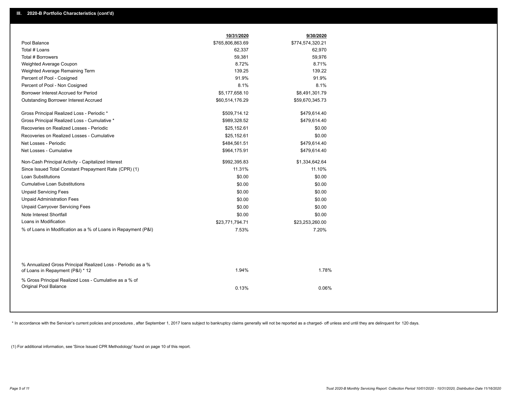|                                                                                                  | 10/31/2020       | 9/30/2020        |  |
|--------------------------------------------------------------------------------------------------|------------------|------------------|--|
| Pool Balance                                                                                     | \$765,806,863.69 | \$774,574,320.21 |  |
| Total # Loans                                                                                    | 62,337           | 62,970           |  |
| Total # Borrowers                                                                                | 59,381           | 59,976           |  |
| Weighted Average Coupon                                                                          | 8.72%            | 8.71%            |  |
| Weighted Average Remaining Term                                                                  | 139.25           | 139.22           |  |
| Percent of Pool - Cosigned                                                                       | 91.9%            | 91.9%            |  |
| Percent of Pool - Non Cosigned                                                                   | 8.1%             | 8.1%             |  |
| Borrower Interest Accrued for Period                                                             | \$5,177,658.10   | \$8,491,301.79   |  |
| <b>Outstanding Borrower Interest Accrued</b>                                                     | \$60,514,176.29  | \$59,670,345.73  |  |
| Gross Principal Realized Loss - Periodic *                                                       | \$509,714.12     | \$479,614.40     |  |
| Gross Principal Realized Loss - Cumulative *                                                     | \$989,328.52     | \$479,614.40     |  |
| Recoveries on Realized Losses - Periodic                                                         | \$25,152.61      | \$0.00           |  |
| Recoveries on Realized Losses - Cumulative                                                       | \$25,152.61      | \$0.00           |  |
| Net Losses - Periodic                                                                            | \$484,561.51     | \$479.614.40     |  |
| Net Losses - Cumulative                                                                          | \$964,175.91     | \$479,614.40     |  |
| Non-Cash Principal Activity - Capitalized Interest                                               | \$992,395.83     | \$1,334,642.64   |  |
| Since Issued Total Constant Prepayment Rate (CPR) (1)                                            | 11.31%           | 11.10%           |  |
| <b>Loan Substitutions</b>                                                                        | \$0.00           | \$0.00           |  |
| <b>Cumulative Loan Substitutions</b>                                                             | \$0.00           | \$0.00           |  |
| <b>Unpaid Servicing Fees</b>                                                                     | \$0.00           | \$0.00           |  |
| <b>Unpaid Administration Fees</b>                                                                | \$0.00           | \$0.00           |  |
| <b>Unpaid Carryover Servicing Fees</b>                                                           | \$0.00           | \$0.00           |  |
| Note Interest Shortfall                                                                          | \$0.00           | \$0.00           |  |
| Loans in Modification                                                                            | \$23,771,794.71  | \$23,253,260.00  |  |
| % of Loans in Modification as a % of Loans in Repayment (P&I)                                    | 7.53%            | 7.20%            |  |
|                                                                                                  |                  |                  |  |
| % Annualized Gross Principal Realized Loss - Periodic as a %<br>of Loans in Repayment (P&I) * 12 | 1.94%            | 1.78%            |  |
| % Gross Principal Realized Loss - Cumulative as a % of<br>Original Pool Balance                  | 0.13%            | 0.06%            |  |
|                                                                                                  |                  |                  |  |

\* In accordance with the Servicer's current policies and procedures, after September 1, 2017 loans subject to bankruptcy claims generally will not be reported as a charged- off unless and until they are delinquent for 120

(1) For additional information, see 'Since Issued CPR Methodology' found on page 10 of this report.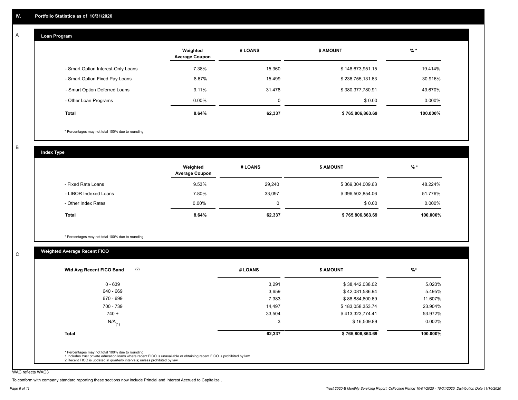#### **Loan Program**  A

|                                    | Weighted<br><b>Average Coupon</b> | # LOANS | <b>\$ AMOUNT</b> | $%$ *    |
|------------------------------------|-----------------------------------|---------|------------------|----------|
| - Smart Option Interest-Only Loans | 7.38%                             | 15,360  | \$148,673,951.15 | 19.414%  |
| - Smart Option Fixed Pay Loans     | 8.67%                             | 15,499  | \$236,755,131.63 | 30.916%  |
| - Smart Option Deferred Loans      | 9.11%                             | 31,478  | \$380,377,780.91 | 49.670%  |
| - Other Loan Programs              | $0.00\%$                          | 0       | \$0.00           | 0.000%   |
| <b>Total</b>                       | 8.64%                             | 62,337  | \$765,806,863.69 | 100.000% |

\* Percentages may not total 100% due to rounding

B

C

**Index Type**

|                       | Weighted<br><b>Average Coupon</b> | # LOANS | <b>\$ AMOUNT</b> | $%$ *     |
|-----------------------|-----------------------------------|---------|------------------|-----------|
| - Fixed Rate Loans    | 9.53%                             | 29,240  | \$369,304,009.63 | 48.224%   |
| - LIBOR Indexed Loans | 7.80%                             | 33,097  | \$396,502,854.06 | 51.776%   |
| - Other Index Rates   | $0.00\%$                          |         | \$0.00           | $0.000\%$ |
| <b>Total</b>          | 8.64%                             | 62,337  | \$765,806,863.69 | 100.000%  |

\* Percentages may not total 100% due to rounding

## **Weighted Average Recent FICO**

|                      |        | <b>\$ AMOUNT</b> | $\frac{9}{6}$ * |
|----------------------|--------|------------------|-----------------|
| $0 - 639$            | 3,291  | \$38,442,038.02  | 5.020%          |
| 640 - 669            | 3,659  | \$42,081,586.94  | 5.495%          |
| 670 - 699            | 7,383  | \$88,884,600.69  | 11.607%         |
| 700 - 739            | 14,497 | \$183,058,353.74 | 23.904%         |
| $740 +$              | 33,504 | \$413,323,774.41 | 53.972%         |
| $N/A$ <sub>(1)</sub> | 3      | \$16,509.89      | 0.002%          |
| <b>Total</b>         | 62,337 | \$765,806,863.69 | 100.000%        |

WAC reflects WAC3

To conform with company standard reporting these sections now include Princial and Interest Accrued to Capitalize .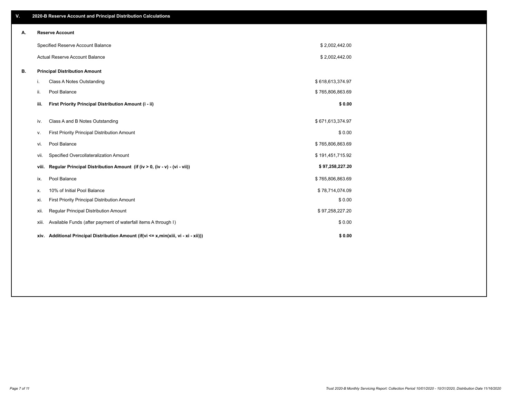| V. |       | 2020-B Reserve Account and Principal Distribution Calculations                       |                  |  |
|----|-------|--------------------------------------------------------------------------------------|------------------|--|
| Α. |       | <b>Reserve Account</b>                                                               |                  |  |
|    |       | Specified Reserve Account Balance                                                    | \$2,002,442.00   |  |
|    |       | Actual Reserve Account Balance                                                       | \$2,002,442.00   |  |
| В. |       | <b>Principal Distribution Amount</b>                                                 |                  |  |
|    | i.    | Class A Notes Outstanding                                                            | \$618,613,374.97 |  |
|    | ii.   | Pool Balance                                                                         | \$765,806,863.69 |  |
|    | iii.  | First Priority Principal Distribution Amount (i - ii)                                | \$0.00           |  |
|    |       |                                                                                      |                  |  |
|    | iv.   | Class A and B Notes Outstanding                                                      | \$671,613,374.97 |  |
|    | v.    | First Priority Principal Distribution Amount                                         | \$0.00           |  |
|    | vi.   | Pool Balance                                                                         | \$765,806,863.69 |  |
|    | vii.  | Specified Overcollateralization Amount                                               | \$191,451,715.92 |  |
|    | viii. | Regular Principal Distribution Amount (if (iv > 0, (iv - v) - (vi - vii))            | \$97,258,227.20  |  |
|    | ix.   | Pool Balance                                                                         | \$765,806,863.69 |  |
|    | х.    | 10% of Initial Pool Balance                                                          | \$78,714,074.09  |  |
|    | xi.   | First Priority Principal Distribution Amount                                         | \$0.00           |  |
|    | xii.  | Regular Principal Distribution Amount                                                | \$97,258,227.20  |  |
|    | xiii. | Available Funds (after payment of waterfall items A through I)                       | \$0.00           |  |
|    |       | xiv. Additional Principal Distribution Amount (if(vi <= x,min(xiii, vi - xi - xii))) | \$0.00           |  |
|    |       |                                                                                      |                  |  |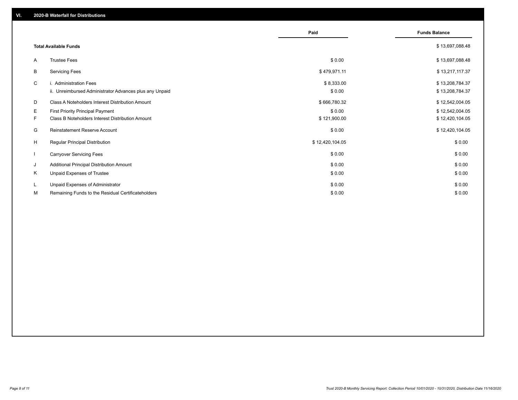|                          |                                                         | Paid            | <b>Funds Balance</b> |
|--------------------------|---------------------------------------------------------|-----------------|----------------------|
|                          | <b>Total Available Funds</b>                            |                 | \$13,697,088.48      |
| A                        | <b>Trustee Fees</b>                                     | \$0.00          | \$13,697,088.48      |
| В                        | <b>Servicing Fees</b>                                   | \$479,971.11    | \$13,217,117.37      |
| C                        | i. Administration Fees                                  | \$8,333.00      | \$13,208,784.37      |
|                          | ii. Unreimbursed Administrator Advances plus any Unpaid | \$0.00          | \$13,208,784.37      |
| D                        | Class A Noteholders Interest Distribution Amount        | \$666,780.32    | \$12,542,004.05      |
| Е                        | <b>First Priority Principal Payment</b>                 | \$0.00          | \$12,542,004.05      |
| F.                       | <b>Class B Noteholders Interest Distribution Amount</b> | \$121,900.00    | \$12,420,104.05      |
| G                        | Reinstatement Reserve Account                           | \$0.00          | \$12,420,104.05      |
| H                        | <b>Regular Principal Distribution</b>                   | \$12,420,104.05 | \$0.00               |
| $\overline{\phantom{a}}$ | <b>Carryover Servicing Fees</b>                         | \$0.00          | \$0.00               |
| J                        | Additional Principal Distribution Amount                | \$0.00          | \$0.00               |
| Κ                        | Unpaid Expenses of Trustee                              | \$0.00          | \$0.00               |
| L                        | Unpaid Expenses of Administrator                        | \$0.00          | \$0.00               |
| м                        | Remaining Funds to the Residual Certificateholders      | \$0.00          | \$0.00               |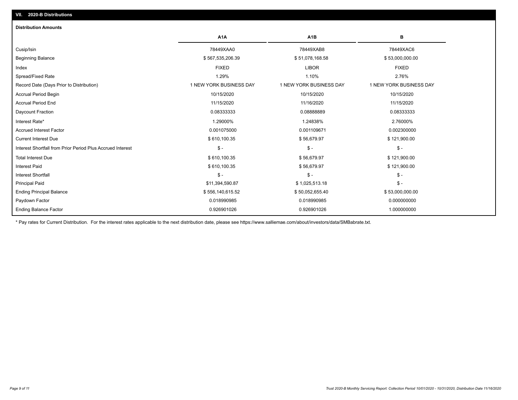| <b>Distribution Amounts</b>                                |                         |                         |                         |
|------------------------------------------------------------|-------------------------|-------------------------|-------------------------|
|                                                            | A <sub>1</sub> A        | A <sub>1</sub> B        | в                       |
| Cusip/Isin                                                 | 78449XAA0               | 78449XAB8               | 78449XAC6               |
| <b>Beginning Balance</b>                                   | \$567,535,206.39        | \$51,078,168.58         | \$53,000,000.00         |
| Index                                                      | <b>FIXED</b>            | <b>LIBOR</b>            | <b>FIXED</b>            |
| Spread/Fixed Rate                                          | 1.29%                   | 1.10%                   | 2.76%                   |
| Record Date (Days Prior to Distribution)                   | 1 NEW YORK BUSINESS DAY | 1 NEW YORK BUSINESS DAY | 1 NEW YORK BUSINESS DAY |
| <b>Accrual Period Begin</b>                                | 10/15/2020              | 10/15/2020              | 10/15/2020              |
| <b>Accrual Period End</b>                                  | 11/15/2020              | 11/16/2020              | 11/15/2020              |
| Daycount Fraction                                          | 0.08333333              | 0.08888889              | 0.08333333              |
| Interest Rate*                                             | 1.29000%                | 1.24838%                | 2.76000%                |
| <b>Accrued Interest Factor</b>                             | 0.001075000             | 0.001109671             | 0.002300000             |
| <b>Current Interest Due</b>                                | \$610,100.35            | \$56,679.97             | \$121,900.00            |
| Interest Shortfall from Prior Period Plus Accrued Interest | $$ -$                   | $\mathsf{\$}$ -         | $\mathsf{\$}$ -         |
| <b>Total Interest Due</b>                                  | \$610,100.35            | \$56,679.97             | \$121,900.00            |
| <b>Interest Paid</b>                                       | \$610,100.35            | \$56,679.97             | \$121,900.00            |
| <b>Interest Shortfall</b>                                  | $$ -$                   | $S -$                   | $$ -$                   |
| <b>Principal Paid</b>                                      | \$11,394,590.87         | \$1,025,513.18          | $$ -$                   |
| <b>Ending Principal Balance</b>                            | \$556,140,615.52        | \$50,052,655.40         | \$53,000,000.00         |
| Paydown Factor                                             | 0.018990985             | 0.018990985             | 0.000000000             |
| <b>Ending Balance Factor</b>                               | 0.926901026             | 0.926901026             | 1.000000000             |

\* Pay rates for Current Distribution. For the interest rates applicable to the next distribution date, please see https://www.salliemae.com/about/investors/data/SMBabrate.txt.

**VII. 2020-B Distributions**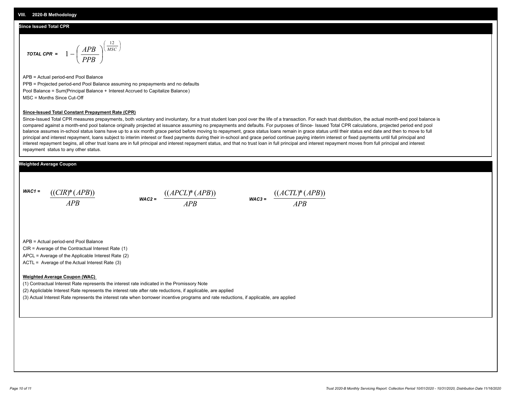#### **Since Issued Total CPR**

$$
\text{total CPR} = 1 - \left(\frac{APB}{PPB}\right)^{\left(\frac{12}{MSC}\right)}
$$

APB = Actual period-end Pool Balance PPB = Projected period-end Pool Balance assuming no prepayments and no defaults Pool Balance = Sum(Principal Balance + Interest Accrued to Capitalize Balance) MSC = Months Since Cut-Off

#### **Since-Issued Total Constant Prepayment Rate (CPR)**

Since-Issued Total CPR measures prepayments, both voluntary and involuntary, for a trust student loan pool over the life of a transaction. For each trust distribution, the actual month-end pool balance is compared against a month-end pool balance originally projected at issuance assuming no prepayments and defaults. For purposes of Since- Issued Total CPR calculations, projected period end pool balance assumes in-school status loans have up to a six month grace period before moving to repayment, grace status loans remain in grace status until their status end date and then to move to full principal and interest repayment, loans subject to interim interest or fixed payments during their in-school and grace period continue paying interim interest or fixed payments until full principal and interest repayment begins, all other trust loans are in full principal and interest repayment status, and that no trust loan in full principal and interest repayment moves from full principal and interest repayment status to any other status.

#### **Weighted Average Coupon**

*WAC1 = APB* ((*CIR*)\*(*APB*))

*WAC2 = APB*  $\frac{((APCL)^{*}(APB))}{APB}$  wac<sub>3</sub> =  $\frac{((ACTL)^{*}(A)P}{APB}$ 



APB = Actual period-end Pool Balance

CIR = Average of the Contractual Interest Rate (1)

APCL = Average of the Applicable Interest Rate (2)

ACTL = Average of the Actual Interest Rate (3)

#### **Weighted Average Coupon (WAC)**

(1) Contractual Interest Rate represents the interest rate indicated in the Promissory Note

(2) Appliclable Interest Rate represents the interest rate after rate reductions, if applicable, are applied

(3) Actual Interest Rate represents the interest rate when borrower incentive programs and rate reductions, if applicable, are applied